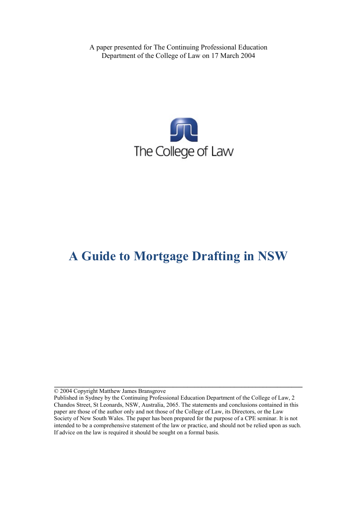A paper presented for The Continuing Professional Education Department of the College of Law on 17 March 2004



# **A Guide to Mortgage Drafting in NSW**

© 2004 Copyright Matthew James Bransgrove

**\_\_\_\_\_\_\_\_\_\_\_\_\_\_\_\_\_\_\_\_\_\_\_\_\_\_\_\_\_\_\_\_\_\_\_\_\_\_\_\_\_\_\_\_\_\_\_\_\_\_\_\_\_\_\_\_\_\_\_\_\_\_\_\_\_\_\_\_\_**

Published in Sydney by the Continuing Professional Education Department of the College of Law, 2 Chandos Street, St Leonards, NSW, Australia, 2065. The statements and conclusions contained in this paper are those of the author only and not those of the College of Law, its Directors, or the Law Society of New South Wales. The paper has been prepared for the purpose of a CPE seminar. It is not intended to be a comprehensive statement of the law or practice, and should not be relied upon as such. If advice on the law is required it should be sought on a formal basis.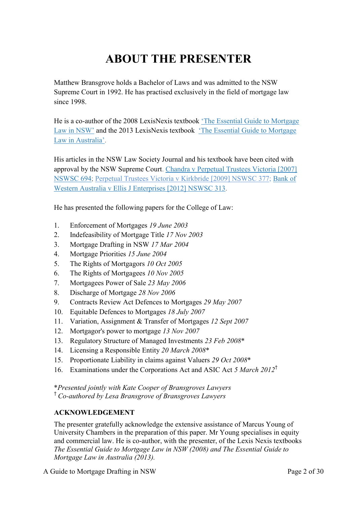# **ABOUT THE PRESENTER**

Matthew Bransgrove holds a Bachelor of Laws and was admitted to the NSW Supreme Court in 1992. He has practised exclusively in the field of mortgage law since 1998.

He is a co-author of the 2008 LexisNexis textbook ['The Essential Guide to Mortgage](http://www.bransgroves.com.au/documents/PDF/Book/OrderForm3LR.pdf) [Law in](http://www.bransgroves.com.au/documents/PDF/Book/OrderForm3LR.pdf) NSW' and the 2013 LexisNexis textbook ['The Essential Guide to Mortgage](http://www.bransgroves.com.au/documents/PDF/Book/EGMLA2ndEdition.pdf) Law in [Australia'.](http://www.bransgroves.com.au/documents/PDF/Book/EGMLA2ndEdition.pdf)

His articles in the NSW Law Society Journal and his textbook have been cited with approval by the NSW Supreme Court. [Chandra v Perpetual Trustees Victoria \[2007\]](http://www.austlii.edu.au/au/cases/nsw/NSWSC/2007/694.html) [NSWSC 694;](http://www.austlii.edu.au/au/cases/nsw/NSWSC/2007/694.html) [Perpetual Trustees Victoria v Kirkbride \[2009\] NSWSC 377;](http://www.austlii.edu.au/au/cases/nsw/NSWSC/2009/377.html) [Bank](http://www.austlii.edu.au/au/cases/nsw/NSWSC/2012/313.html) of [Western Australia v Ellis J Enterprises](http://www.austlii.edu.au/au/cases/nsw/NSWSC/2012/313.html) [2012] NSWSC 313.

He has presented the following papers for the College of Law:

- 1. Enforcement of Mortgages *19 June 2003*
- 2. Indefeasibility of Mortgage Title *17 Nov 2003*
- 3. Mortgage Drafting in NSW *17 Mar 2004*
- 4. Mortgage Priorities *15 June 2004*
- 5. The Rights of Mortgagors *10 Oct 2005*
- 6. The Rights of Mortgagees *10 Nov 2005*
- 7. Mortgagees Power of Sale *23 May 2006*
- 8. Discharge of Mortgage *28 Nov 2006*
- 9. Contracts Review Act Defences to Mortgages *29 May 2007*
- 10. Equitable Defences to Mortgages *18 July 2007*
- 11. Variation, Assignment & Transfer of Mortgages *12 Sept 2007*
- 12. Mortgagor's power to mortgage *13 Nov 2007*
- 13. Regulatory Structure of Managed Investments *23 Feb 2008*\*
- 14. Licensing a Responsible Entity *20 March 2008*\*
- 15. Proportionate Liability in claims against Valuers *29 Oct 2008*\*
- 16. Examinations under the Corporations Act and ASIC Act *5 March 2012*†

\**Presented jointly with Kate Cooper of Bransgroves Lawyers* † *Co-authored by Lesa Bransgrove of Bransgroves Lawyers*

#### **ACKNOWLEDGEMENT**

The presenter gratefully acknowledge the extensive assistance of Marcus Young of University Chambers in the preparation of this paper. Mr Young specialises in equity and commercial law. He is co-author, with the presenter, of the Lexis Nexis textbooks *The Essential Guide to Mortgage Law in NSW (2008) and The Essential Guide to Mortgage Law in Australia (2013).*

A Guide to Mortgage Drafting in NSW Page 2 of 30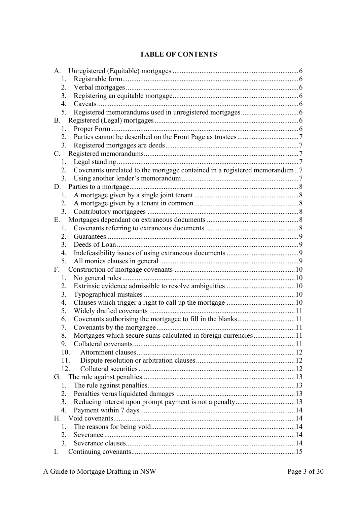#### **TABLE OF CONTENTS**

| 1.                                                                              |  |
|---------------------------------------------------------------------------------|--|
| 2.                                                                              |  |
| 3.                                                                              |  |
| 4.                                                                              |  |
| 5.                                                                              |  |
| <b>B</b> .                                                                      |  |
| 1.                                                                              |  |
| 2.                                                                              |  |
| 3.                                                                              |  |
| C.                                                                              |  |
| 1.                                                                              |  |
| Covenants unrelated to the mortgage contained in a registered memorandum7<br>2. |  |
| 3.                                                                              |  |
| D.                                                                              |  |
| 1.                                                                              |  |
| 2.                                                                              |  |
| 3.                                                                              |  |
| Е.                                                                              |  |
| 1.                                                                              |  |
| 2.                                                                              |  |
| 3.                                                                              |  |
| 4.                                                                              |  |
| 5.                                                                              |  |
| F.                                                                              |  |
| 1.                                                                              |  |
| 2.                                                                              |  |
| 3.                                                                              |  |
| 4.                                                                              |  |
| 5.<br>6.                                                                        |  |
| 7.                                                                              |  |
| Mortgages which secure sums calculated in foreign currencies11<br>8.            |  |
| 9.                                                                              |  |
| 10.                                                                             |  |
| 11.                                                                             |  |
| 12.                                                                             |  |
| G.                                                                              |  |
| 1                                                                               |  |
| 2.                                                                              |  |
| 3.                                                                              |  |
| 4.                                                                              |  |
| H.                                                                              |  |
| $\mathbf{1}$                                                                    |  |
| $\overline{2}$ .                                                                |  |
| 3.                                                                              |  |
| $\mathbf{I}$ .                                                                  |  |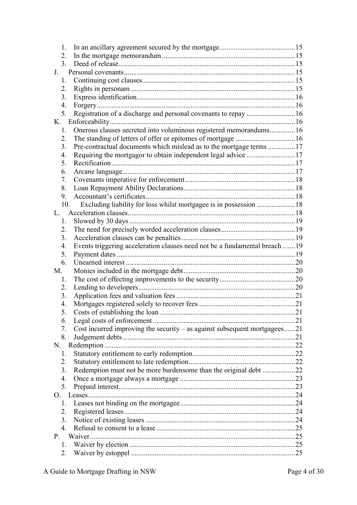| 1.                                                                                |  |
|-----------------------------------------------------------------------------------|--|
| 2.                                                                                |  |
| 3 <sub>1</sub>                                                                    |  |
| $J_{\cdot}$                                                                       |  |
| 1.                                                                                |  |
| 2.                                                                                |  |
| 3.                                                                                |  |
| 4.                                                                                |  |
| Registration of a discharge and personal covenants to repay  16<br>5.             |  |
| K.                                                                                |  |
| Onerous clauses secreted into voluminous registered memorandums16<br>1.           |  |
| 2.                                                                                |  |
| 3.<br>Pre-contractual documents which mislead as to the mortgage terms  17        |  |
| 4.                                                                                |  |
| 5.                                                                                |  |
| 6.                                                                                |  |
| 7.                                                                                |  |
| 8.                                                                                |  |
| 9.                                                                                |  |
| Excluding liability for loss whilst mortgagee is in possession  18<br>10.         |  |
| L                                                                                 |  |
| 1.                                                                                |  |
| 2.                                                                                |  |
| 3.                                                                                |  |
| Events triggering acceleration clauses need not be a fundamental breach 19<br>4.  |  |
| 5.                                                                                |  |
| 6.                                                                                |  |
| M.                                                                                |  |
| 1.                                                                                |  |
| 2.                                                                                |  |
| 3.                                                                                |  |
| 4.                                                                                |  |
| 5.                                                                                |  |
| 6.                                                                                |  |
| Cost incurred improving the security $-$ as against subsequent mortgagees21<br>7. |  |
| 8.                                                                                |  |
| N.                                                                                |  |
| 1.                                                                                |  |
| 2.                                                                                |  |
| Redemption must not be more burdensome than the original debt 22<br>3.            |  |
| 4.                                                                                |  |
| 5.                                                                                |  |
| O.                                                                                |  |
| 1.                                                                                |  |
| 2.                                                                                |  |
| 3.                                                                                |  |
| $\overline{4}$ .                                                                  |  |
| P.                                                                                |  |
| 1.                                                                                |  |
| 2.                                                                                |  |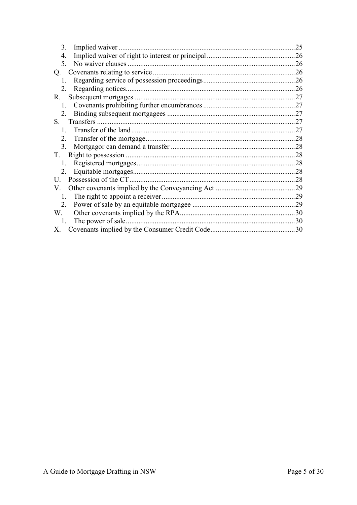| 3.            | 25  |
|---------------|-----|
| 4.            | .26 |
| 5.            | 26  |
| Q.            | .26 |
| 1.            | 26  |
| 2.            | .26 |
| R.            | 27  |
|               | .27 |
| 2.            | 27  |
| S.            | .27 |
| $\mathbf{1}$  | 27  |
| $2^{\circ}$   | 28  |
| $\mathcal{E}$ | 28  |
| T.            | 28  |
| $\mathbf{1}$  | .28 |
| 2             | 28  |
| U             | 28  |
| V.            | .29 |
| 1.            | 29  |
| 2.            | 29  |
| W.            | 30  |
| 1.            | 30  |
| X.            | .30 |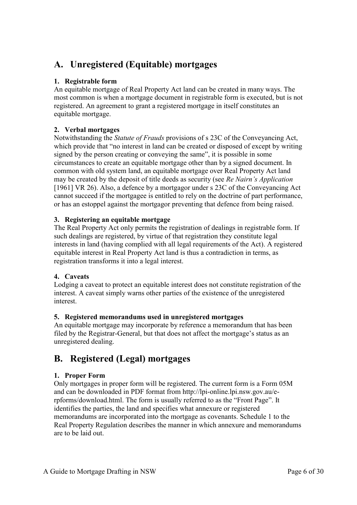# <span id="page-5-0"></span>**A. Unregistered (Equitable) mortgages**

#### <span id="page-5-1"></span>**1. Registrable form**

An equitable mortgage of Real Property Act land can be created in many ways. The most common is when a mortgage document in registrable form is executed, but is not registered. An agreement to grant a registered mortgage in itself constitutes an equitable mortgage.

#### <span id="page-5-2"></span>**2. Verbal mortgages**

Notwithstanding the *Statute of Frauds* provisions of s 23C of the Conveyancing Act, which provide that "no interest in land can be created or disposed of except by writing signed by the person creating or conveying the same", it is possible in some circumstances to create an equitable mortgage other than by a signed document. In common with old system land, an equitable mortgage over Real Property Act land may be created by the deposit of title deeds as security (see *Re Nairn's Application* [1961] VR 26). Also, a defence by a mortgagor under s 23C of the Conveyancing Act cannot succeed if the mortgagee is entitled to rely on the doctrine of part performance, or has an estoppel against the mortgagor preventing that defence from being raised.

#### <span id="page-5-3"></span>**3. Registering an equitable mortgage**

The Real Property Act only permits the registration of dealings in registrable form. If such dealings are registered, by virtue of that registration they constitute legal interests in land (having complied with all legal requirements of the Act). A registered equitable interest in Real Property Act land is thus a contradiction in terms, as registration transforms it into a legal interest.

#### <span id="page-5-4"></span>**4. Caveats**

Lodging a caveat to protect an equitable interest does not constitute registration of the interest. A caveat simply warns other parties of the existence of the unregistered interest.

#### <span id="page-5-5"></span>**5. Registered memorandums used in unregistered mortgages**

An equitable mortgage may incorporate by reference a memorandum that has been filed by the Registrar-General, but that does not affect the mortgage's status as an unregistered dealing.

### <span id="page-5-6"></span>**B. Registered (Legal) mortgages**

#### <span id="page-5-7"></span>**1. Proper Form**

Only mortgages in proper form will be registered. The current form is a Form 05M and can be downloaded in PDF format from http://lpi-online.lpi.nsw.gov.au/erpforms/download.html. The form is usually referred to as the "Front Page". It identifies the parties, the land and specifies what annexure or registered memorandums are incorporated into the mortgage as covenants. Schedule 1 to the Real Property Regulation describes the manner in which annexure and memorandums are to be laid out.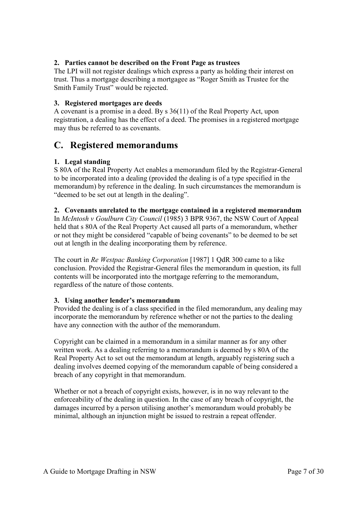#### <span id="page-6-0"></span>**2. Parties cannot be described on the Front Page as trustees**

The LPI will not register dealings which express a party as holding their interest on trust. Thus a mortgage describing a mortgagee as "Roger Smith as Trustee for the Smith Family Trust" would be rejected.

#### <span id="page-6-1"></span>**3. Registered mortgages are deeds**

A covenant is a promise in a deed. By s 36(11) of the Real Property Act, upon registration, a dealing has the effect of a deed. The promises in a registered mortgage may thus be referred to as covenants.

### <span id="page-6-2"></span>**C. Registered memorandums**

#### <span id="page-6-3"></span>**1. Legal standing**

S 80A of the Real Property Act enables a memorandum filed by the Registrar-General to be incorporated into a dealing (provided the dealing is of a type specified in the memorandum) by reference in the dealing. In such circumstances the memorandum is "deemed to be set out at length in the dealing".

#### <span id="page-6-4"></span>**2. Covenants unrelated to the mortgage contained in a registered memorandum**

In *McIntosh v Goulburn City Council* (1985) 3 BPR 9367, the NSW Court of Appeal held that s 80A of the Real Property Act caused all parts of a memorandum, whether or not they might be considered "capable of being covenants" to be deemed to be set out at length in the dealing incorporating them by reference.

The court in *Re Westpac Banking Corporation* [1987] 1 QdR 300 came to a like conclusion. Provided the Registrar-General files the memorandum in question, its full contents will be incorporated into the mortgage referring to the memorandum, regardless of the nature of those contents.

#### <span id="page-6-5"></span>**3. Using another lender's memorandum**

Provided the dealing is of a class specified in the filed memorandum, any dealing may incorporate the memorandum by reference whether or not the parties to the dealing have any connection with the author of the memorandum.

Copyright can be claimed in a memorandum in a similar manner as for any other written work. As a dealing referring to a memorandum is deemed by s 80A of the Real Property Act to set out the memorandum at length, arguably registering such a dealing involves deemed copying of the memorandum capable of being considered a breach of any copyright in that memorandum.

Whether or not a breach of copyright exists, however, is in no way relevant to the enforceability of the dealing in question. In the case of any breach of copyright, the damages incurred by a person utilising another's memorandum would probably be minimal, although an injunction might be issued to restrain a repeat offender.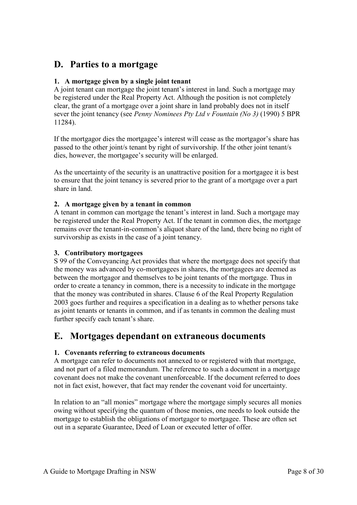### <span id="page-7-0"></span>**D. Parties to a mortgage**

#### <span id="page-7-1"></span>**1. A mortgage given by a single joint tenant**

A joint tenant can mortgage the joint tenant's interest in land. Such a mortgage may be registered under the Real Property Act. Although the position is not completely clear, the grant of a mortgage over a joint share in land probably does not in itself sever the joint tenancy (see *Penny Nominees Pty Ltd v Fountain (No 3)* (1990) 5 BPR 11284).

If the mortgagor dies the mortgagee's interest will cease as the mortgagor's share has passed to the other joint/s tenant by right of survivorship. If the other joint tenant/s dies, however, the mortgagee's security will be enlarged.

As the uncertainty of the security is an unattractive position for a mortgagee it is best to ensure that the joint tenancy is severed prior to the grant of a mortgage over a part share in land.

#### <span id="page-7-2"></span>**2. A mortgage given by a tenant in common**

A tenant in common can mortgage the tenant's interest in land. Such a mortgage may be registered under the Real Property Act. If the tenant in common dies, the mortgage remains over the tenant-in-common's aliquot share of the land, there being no right of survivorship as exists in the case of a joint tenancy.

#### <span id="page-7-3"></span>**3. Contributory mortgagees**

S 99 of the Conveyancing Act provides that where the mortgage does not specify that the money was advanced by co-mortgagees in shares, the mortgagees are deemed as between the mortgagor and themselves to be joint tenants of the mortgage. Thus in order to create a tenancy in common, there is a necessity to indicate in the mortgage that the money was contributed in shares. Clause 6 of the Real Property Regulation 2003 goes further and requires a specification in a dealing as to whether persons take as joint tenants or tenants in common, and if as tenants in common the dealing must further specify each tenant's share.

### <span id="page-7-4"></span>**E. Mortgages dependant on extraneous documents**

#### <span id="page-7-5"></span>**1. Covenants referring to extraneous documents**

A mortgage can refer to documents not annexed to or registered with that mortgage, and not part of a filed memorandum. The reference to such a document in a mortgage covenant does not make the covenant unenforceable. If the document referred to does not in fact exist, however, that fact may render the covenant void for uncertainty.

In relation to an "all monies" mortgage where the mortgage simply secures all monies owing without specifying the quantum of those monies, one needs to look outside the mortgage to establish the obligations of mortgagor to mortgagee. These are often set out in a separate Guarantee, Deed of Loan or executed letter of offer.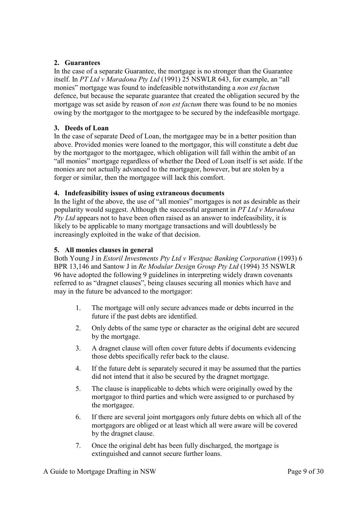#### <span id="page-8-0"></span>**2. Guarantees**

In the case of a separate Guarantee, the mortgage is no stronger than the Guarantee itself. In *PT Ltd v Maradona Pty Ltd* (1991) 25 NSWLR 643, for example, an "all monies" mortgage was found to indefeasible notwithstanding a *non est factum* defence, but because the separate guarantee that created the obligation secured by the mortgage was set aside by reason of *non est factum* there was found to be no monies owing by the mortgagor to the mortgagee to be secured by the indefeasible mortgage.

#### <span id="page-8-1"></span>**3. Deeds of Loan**

In the case of separate Deed of Loan, the mortgagee may be in a better position than above. Provided monies were loaned to the mortgagor, this will constitute a debt due by the mortgagor to the mortgagee, which obligation will fall within the ambit of an "all monies" mortgage regardless of whether the Deed of Loan itself is set aside. If the monies are not actually advanced to the mortgagor, however, but are stolen by a forger or similar, then the mortgagee will lack this comfort.

#### <span id="page-8-2"></span>**4. Indefeasibility issues of using extraneous documents**

In the light of the above, the use of "all monies" mortgages is not as desirable as their popularity would suggest. Although the successful argument in *PT Ltd v Maradona Pty Ltd* appears not to have been often raised as an answer to indefeasibility, it is likely to be applicable to many mortgage transactions and will doubtlessly be increasingly exploited in the wake of that decision.

#### <span id="page-8-3"></span>**5. All monies clauses in general**

Both Young J in *Estoril Investments Pty Ltd v Westpac Banking Corporation* (1993) 6 BPR 13,146 and Santow J in *Re Modular Design Group Pty Ltd* (1994) 35 NSWLR 96 have adopted the following 9 guidelines in interpreting widely drawn covenants referred to as "dragnet clauses", being clauses securing all monies which have and may in the future be advanced to the mortgagor:

- 1. The mortgage will only secure advances made or debts incurred in the future if the past debts are identified.
- 2. Only debts of the same type or character as the original debt are secured by the mortgage.
- 3. A dragnet clause will often cover future debts if documents evidencing those debts specifically refer back to the clause.
- 4. If the future debt is separately secured it may be assumed that the parties did not intend that it also be secured by the dragnet mortgage.
- 5. The clause is inapplicable to debts which were originally owed by the mortgagor to third parties and which were assigned to or purchased by the mortgagee.
- 6. If there are several joint mortgagors only future debts on which all of the mortgagors are obliged or at least which all were aware will be covered by the dragnet clause.
- 7. Once the original debt has been fully discharged, the mortgage is extinguished and cannot secure further loans.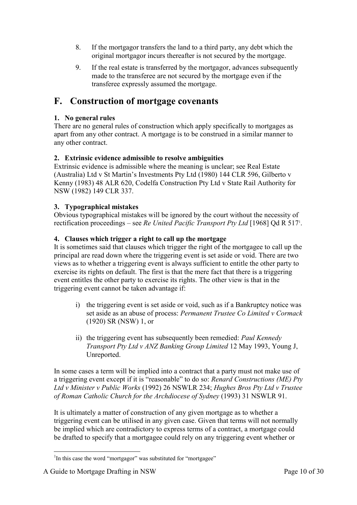- 8. If the mortgagor transfers the land to a third party, any debt which the original mortgagor incurs thereafter is not secured by the mortgage.
- 9. If the real estate is transferred by the mortgagor, advances subsequently made to the transferee are not secured by the mortgage even if the transferee expressly assumed the mortgage.

### <span id="page-9-0"></span>**F. Construction of mortgage covenants**

#### <span id="page-9-1"></span>**1. No general rules**

There are no general rules of construction which apply specifically to mortgages as apart from any other contract. A mortgage is to be construed in a similar manner to any other contract.

#### <span id="page-9-2"></span>**2. Extrinsic evidence admissible to resolve ambiguities**

Extrinsic evidence is admissible where the meaning is unclear; see Real Estate (Australia) Ltd v St Martin's Investments Pty Ltd (1980) 144 CLR 596, Gilberto v Kenny (1983) 48 ALR 620, Codelfa Construction Pty Ltd v State Rail Authority for NSW (1982) 149 CLR 337.

#### <span id="page-9-3"></span>**3. Typographical mistakes**

Obvious typographical mistakes will be ignored by the court without the necessity of rectification proceedings – see *Re United Pacific Transport Pty Ltd* [1968] Qd R 517<sup>1</sup>.

#### <span id="page-9-4"></span>**4. Clauses which trigger a right to call up the mortgage**

It is sometimes said that clauses which trigger the right of the mortgagee to call up the principal are read down where the triggering event is set aside or void. There are two views as to whether a triggering event is always sufficient to entitle the other party to exercise its rights on default. The first is that the mere fact that there is a triggering event entitles the other party to exercise its rights. The other view is that in the triggering event cannot be taken advantage if:

- i) the triggering event is set aside or void, such as if a Bankruptcy notice was set aside as an abuse of process: *Permanent Trustee Co Limited v Cormack* (1920) SR (NSW) 1, or
- ii) the triggering event has subsequently been remedied: *Paul Kennedy Transport Pty Ltd v ANZ Banking Group Limited* 12 May 1993, Young J, Unreported.

In some cases a term will be implied into a contract that a party must not make use of a triggering event except if it is "reasonable" to do so: *Renard Constructions (ME) Pty Ltd v Minister v Public Works* (1992) 26 NSWLR 234; *Hughes Bros Pty Ltd v Trustee of Roman Catholic Church for the Archdiocese of Sydney* (1993) 31 NSWLR 91.

It is ultimately a matter of construction of any given mortgage as to whether a triggering event can be utilised in any given case. Given that terms will not normally be implied which are contradictory to express terms of a contract, a mortgage could be drafted to specify that a mortgagee could rely on any triggering event whether or

<sup>-</sup><sup>1</sup>In this case the word "mortgagor" was substituted for "mortgagee"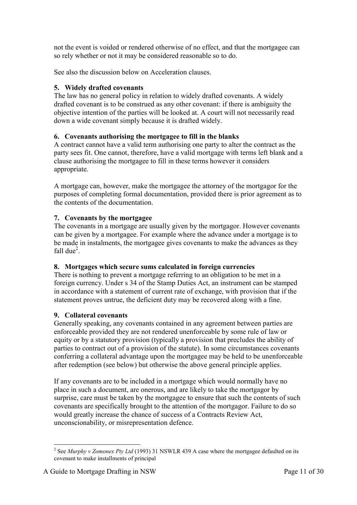not the event is voided or rendered otherwise of no effect, and that the mortgagee can so rely whether or not it may be considered reasonable so to do.

See also the discussion below on Acceleration clauses.

#### <span id="page-10-0"></span>**5. Widely drafted covenants**

The law has no general policy in relation to widely drafted covenants. A widely drafted covenant is to be construed as any other covenant: if there is ambiguity the objective intention of the parties will be looked at. A court will not necessarily read down a wide covenant simply because it is drafted widely.

#### <span id="page-10-1"></span>**6. Covenants authorising the mortgagee to fill in the blanks**

A contract cannot have a valid term authorising one party to alter the contract as the party sees fit. One cannot, therefore, have a valid mortgage with terms left blank and a clause authorising the mortgagee to fill in these terms however it considers appropriate.

A mortgage can, however, make the mortgagee the attorney of the mortgagor for the purposes of completing formal documentation, provided there is prior agreement as to the contents of the documentation.

#### <span id="page-10-2"></span>**7. Covenants by the mortgagee**

The covenants in a mortgage are usually given by the mortgagor. However covenants can be given by a mortgagee. For example where the advance under a mortgage is to be made in instalments, the mortgagee gives covenants to make the advances as they fall due $^2$ .

#### <span id="page-10-3"></span>**8. Mortgages which secure sums calculated in foreign currencies**

There is nothing to prevent a mortgage referring to an obligation to be met in a foreign currency. Under s 34 of the Stamp Duties Act, an instrument can be stamped in accordance with a statement of current rate of exchange, with provision that if the statement proves untrue, the deficient duty may be recovered along with a fine.

#### <span id="page-10-4"></span>**9. Collateral covenants**

Generally speaking, any covenants contained in any agreement between parties are enforceable provided they are not rendered unenforceable by some rule of law or equity or by a statutory provision (typically a provision that precludes the ability of parties to contract out of a provision of the statute). In some circumstances covenants conferring a collateral advantage upon the mortgagee may be held to be unenforceable after redemption (see below) but otherwise the above general principle applies.

If any covenants are to be included in a mortgage which would normally have no place in such a document, are onerous, and are likely to take the mortgagor by surprise, care must be taken by the mortgagee to ensure that such the contents of such covenants are specifically brought to the attention of the mortgagor. Failure to do so would greatly increase the chance of success of a Contracts Review Act, unconscionability, or misrepresentation defence.

<sup>-</sup><sup>2</sup> See *Murphy v Zomonex Pty Ltd* (1993) 31 NSWLR 439 A case where the mortgagee defaulted on its covenant to make installments of principal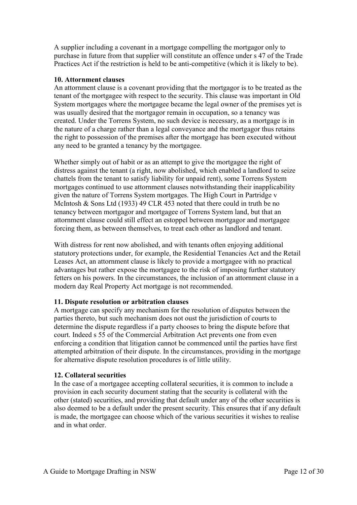A supplier including a covenant in a mortgage compelling the mortgagor only to purchase in future from that supplier will constitute an offence under s 47 of the Trade Practices Act if the restriction is held to be anti-competitive (which it is likely to be).

#### <span id="page-11-0"></span>**10. Attornment clauses**

An attornment clause is a covenant providing that the mortgagor is to be treated as the tenant of the mortgagee with respect to the security. This clause was important in Old System mortgages where the mortgagee became the legal owner of the premises yet is was usually desired that the mortgagor remain in occupation, so a tenancy was created. Under the Torrens System, no such device is necessary, as a mortgage is in the nature of a charge rather than a legal conveyance and the mortgagor thus retains the right to possession of the premises after the mortgage has been executed without any need to be granted a tenancy by the mortgagee.

Whether simply out of habit or as an attempt to give the mortgagee the right of distress against the tenant (a right, now abolished, which enabled a landlord to seize chattels from the tenant to satisfy liability for unpaid rent), some Torrens System mortgages continued to use attornment clauses notwithstanding their inapplicability given the nature of Torrens System mortgages. The High Court in Partridge v McIntosh & Sons Ltd (1933) 49 CLR 453 noted that there could in truth be no tenancy between mortgagor and mortgagee of Torrens System land, but that an attornment clause could still effect an estoppel between mortgagor and mortgagee forcing them, as between themselves, to treat each other as landlord and tenant.

With distress for rent now abolished, and with tenants often enjoying additional statutory protections under, for example, the Residential Tenancies Act and the Retail Leases Act, an attornment clause is likely to provide a mortgagee with no practical advantages but rather expose the mortgagee to the risk of imposing further statutory fetters on his powers. In the circumstances, the inclusion of an attornment clause in a modern day Real Property Act mortgage is not recommended.

#### <span id="page-11-1"></span>**11. Dispute resolution or arbitration clauses**

A mortgage can specify any mechanism for the resolution of disputes between the parties thereto, but such mechanism does not oust the jurisdiction of courts to determine the dispute regardless if a party chooses to bring the dispute before that court. Indeed s 55 of the Commercial Arbitration Act prevents one from even enforcing a condition that litigation cannot be commenced until the parties have first attempted arbitration of their dispute. In the circumstances, providing in the mortgage for alternative dispute resolution procedures is of little utility.

#### <span id="page-11-2"></span>**12. Collateral securities**

In the case of a mortgagee accepting collateral securities, it is common to include a provision in each security document stating that the security is collateral with the other (stated) securities, and providing that default under any of the other securities is also deemed to be a default under the present security. This ensures that if any default is made, the mortgagee can choose which of the various securities it wishes to realise and in what order.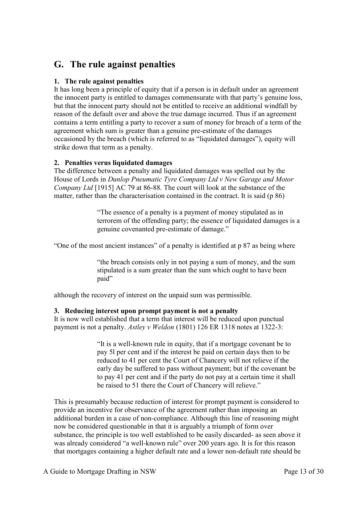## <span id="page-12-0"></span>**G. The rule against penalties**

#### <span id="page-12-1"></span>**1. The rule against penalties**

It has long been a principle of equity that if a person is in default under an agreement the innocent party is entitled to damages commensurate with that party's genuine loss, but that the innocent party should not be entitled to receive an additional windfall by reason of the default over and above the true damage incurred. Thus if an agreement contains a term entitling a party to recover a sum of money for breach of a term of the agreement which sum is greater than a genuine pre-estimate of the damages occasioned by the breach (which is referred to as "liquidated damages"), equity will strike down that term as a penalty.

#### <span id="page-12-2"></span>**2. Penalties verus liquidated damages**

The difference between a penalty and liquidated damages was spelled out by the House of Lords in *Dunlop Pneumatic Tyre Company Ltd v New Garage and Motor Company Ltd* [1915] AC 79 at 86-88. The court will look at the substance of the matter, rather than the characterisation contained in the contract. It is said (p 86)

> "The essence of a penalty is a payment of money stipulated as in terrorem of the offending party; the essence of liquidated damages is a genuine covenanted pre-estimate of damage."

"One of the most ancient instances" of a penalty is identified at p 87 as being where

"the breach consists only in not paying a sum of money, and the sum stipulated is a sum greater than the sum which ought to have been paid"

although the recovery of interest on the unpaid sum was permissible.

#### <span id="page-12-3"></span>**3. Reducing interest upon prompt payment is not a penalty**

It is now well established that a term that interest will be reduced upon punctual payment is not a penalty. *Astley v Weldon* (1801) 126 ER 1318 notes at 1322-3:

> "It is a well-known rule in equity, that if a mortgage covenant be to pay 5l per cent and if the interest be paid on certain days then to be reduced to 41 per cent the Court of Chancery will not relieve if the early day be suffered to pass without payment; but if the covenant be to pay 41 per cent and if the party do not pay at a certain time it shall be raised to 51 there the Court of Chancery will relieve."

This is presumably because reduction of interest for prompt payment is considered to provide an incentive for observance of the agreement rather than imposing an additional burden in a case of non-compliance. Although this line of reasoning might now be considered questionable in that it is arguably a triumph of form over substance, the principle is too well established to be easily discarded- as seen above it was already considered "a well-known rule" over 200 years ago. It is for this reason that mortgages containing a higher default rate and a lower non-default rate should be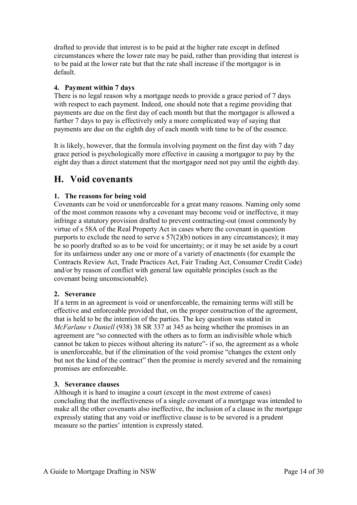drafted to provide that interest is to be paid at the higher rate except in defined circumstances where the lower rate may be paid, rather than providing that interest is to be paid at the lower rate but that the rate shall increase if the mortgagor is in default.

#### <span id="page-13-0"></span>**4. Payment within 7 days**

There is no legal reason why a mortgage needs to provide a grace period of 7 days with respect to each payment. Indeed, one should note that a regime providing that payments are due on the first day of each month but that the mortgagor is allowed a further 7 days to pay is effectively only a more complicated way of saying that payments are due on the eighth day of each month with time to be of the essence.

It is likely, however, that the formula involving payment on the first day with 7 day grace period is psychologically more effective in causing a mortgagor to pay by the eight day than a direct statement that the mortgagor need not pay until the eighth day.

### <span id="page-13-1"></span>**H. Void covenants**

#### <span id="page-13-2"></span>**1. The reasons for being void**

Covenants can be void or unenforceable for a great many reasons. Naming only some of the most common reasons why a covenant may become void or ineffective, it may infringe a statutory provision drafted to prevent contracting-out (most commonly by virtue of s 58A of the Real Property Act in cases where the covenant in question purports to exclude the need to serve s  $57(2)(b)$  notices in any circumstances); it may be so poorly drafted so as to be void for uncertainty; or it may be set aside by a court for its unfairness under any one or more of a variety of enactments (for example the Contracts Review Act, Trade Practices Act, Fair Trading Act, Consumer Credit Code) and/or by reason of conflict with general law equitable principles (such as the covenant being unconscionable).

#### <span id="page-13-3"></span>**2. Severance**

If a term in an agreement is void or unenforceable, the remaining terms will still be effective and enforceable provided that, on the proper construction of the agreement, that is held to be the intention of the parties. The key question was stated in *McFarlane v Daniell* (938) 38 SR 337 at 345 as being whether the promises in an agreement are "so connected with the others as to form an indivisible whole which cannot be taken to pieces without altering its nature"- if so, the agreement as a whole is unenforceable, but if the elimination of the void promise "changes the extent only but not the kind of the contract" then the promise is merely severed and the remaining promises are enforceable.

#### <span id="page-13-4"></span>**3. Severance clauses**

Although it is hard to imagine a court (except in the most extreme of cases) concluding that the ineffectiveness of a single covenant of a mortgage was intended to make all the other covenants also ineffective, the inclusion of a clause in the mortgage expressly stating that any void or ineffective clause is to be severed is a prudent measure so the parties' intention is expressly stated.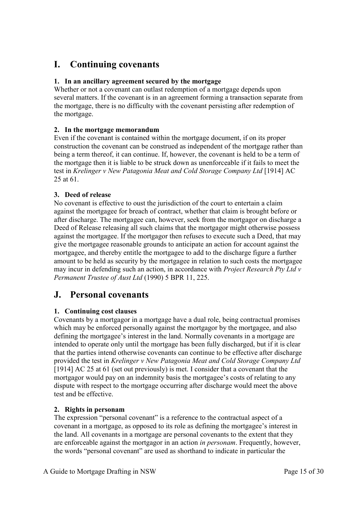## <span id="page-14-0"></span>**I. Continuing covenants**

#### <span id="page-14-1"></span>**1. In an ancillary agreement secured by the mortgage**

Whether or not a covenant can outlast redemption of a mortgage depends upon several matters. If the covenant is in an agreement forming a transaction separate from the mortgage, there is no difficulty with the covenant persisting after redemption of the mortgage.

#### <span id="page-14-2"></span>**2. In the mortgage memorandum**

Even if the covenant is contained within the mortgage document, if on its proper construction the covenant can be construed as independent of the mortgage rather than being a term thereof, it can continue. If, however, the covenant is held to be a term of the mortgage then it is liable to be struck down as unenforceable if it fails to meet the test in *Krelinger v New Patagonia Meat and Cold Storage Company Ltd* [1914] AC 25 at 61.

#### <span id="page-14-3"></span>**3. Deed of release**

No covenant is effective to oust the jurisdiction of the court to entertain a claim against the mortgagee for breach of contract, whether that claim is brought before or after discharge. The mortgagee can, however, seek from the mortgagor on discharge a Deed of Release releasing all such claims that the mortgagor might otherwise possess against the mortgagee. If the mortgagor then refuses to execute such a Deed, that may give the mortgagee reasonable grounds to anticipate an action for account against the mortgagee, and thereby entitle the mortgagee to add to the discharge figure a further amount to be held as security by the mortgagee in relation to such costs the mortgagee may incur in defending such an action, in accordance with *Project Research Pty Ltd v Permanent Trustee of Aust Ltd* (1990) 5 BPR 11, 225.

### <span id="page-14-4"></span>**J. Personal covenants**

#### <span id="page-14-5"></span>**1. Continuing cost clauses**

Covenants by a mortgagor in a mortgage have a dual role, being contractual promises which may be enforced personally against the mortgagor by the mortgagee, and also defining the mortgagee's interest in the land. Normally covenants in a mortgage are intended to operate only until the mortgage has been fully discharged, but if it is clear that the parties intend otherwise covenants can continue to be effective after discharge provided the test in *Krelinger v New Patagonia Meat and Cold Storage Company Ltd* [1914] AC 25 at 61 (set out previously) is met. I consider that a covenant that the mortgagor would pay on an indemnity basis the mortgagee's costs of relating to any dispute with respect to the mortgage occurring after discharge would meet the above test and be effective.

#### <span id="page-14-6"></span>**2. Rights in personam**

The expression "personal covenant" is a reference to the contractual aspect of a covenant in a mortgage, as opposed to its role as defining the mortgagee's interest in the land. All covenants in a mortgage are personal covenants to the extent that they are enforceable against the mortgagor in an action *in personam*. Frequently, however, the words "personal covenant" are used as shorthand to indicate in particular the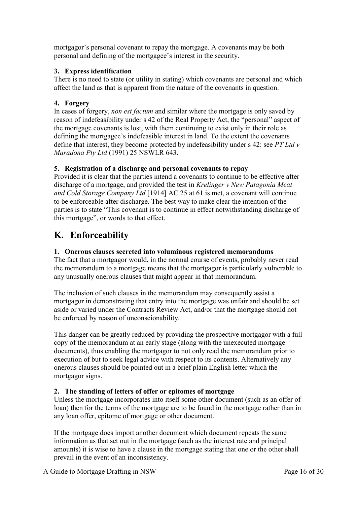mortgagor's personal covenant to repay the mortgage. A covenants may be both personal and defining of the mortgagee's interest in the security.

#### <span id="page-15-0"></span>**3. Express identification**

There is no need to state (or utility in stating) which covenants are personal and which affect the land as that is apparent from the nature of the covenants in question.

#### <span id="page-15-1"></span>**4. Forgery**

In cases of forgery, *non est factum* and similar where the mortgage is only saved by reason of indefeasibility under s 42 of the Real Property Act, the "personal" aspect of the mortgage covenants is lost, with them continuing to exist only in their role as defining the mortgagee's indefeasible interest in land. To the extent the covenants define that interest, they become protected by indefeasibility under s 42: see *PT Ltd v Maradona Pty Ltd* (1991) 25 NSWLR 643.

#### <span id="page-15-2"></span>**5. Registration of a discharge and personal covenants to repay**

Provided it is clear that the parties intend a covenants to continue to be effective after discharge of a mortgage, and provided the test in *Krelinger v New Patagonia Meat and Cold Storage Company Ltd* [1914] AC 25 at 61 is met, a covenant will continue to be enforceable after discharge. The best way to make clear the intention of the parties is to state "This covenant is to continue in effect notwithstanding discharge of this mortgage", or words to that effect.

### <span id="page-15-3"></span>**K. Enforceability**

#### <span id="page-15-4"></span>**1. Onerous clauses secreted into voluminous registered memorandums**

The fact that a mortgagor would, in the normal course of events, probably never read the memorandum to a mortgage means that the mortgagor is particularly vulnerable to any unusually onerous clauses that might appear in that memorandum.

The inclusion of such clauses in the memorandum may consequently assist a mortgagor in demonstrating that entry into the mortgage was unfair and should be set aside or varied under the Contracts Review Act, and/or that the mortgage should not be enforced by reason of unconscionability.

This danger can be greatly reduced by providing the prospective mortgagor with a full copy of the memorandum at an early stage (along with the unexecuted mortgage documents), thus enabling the mortgagor to not only read the memorandum prior to execution of but to seek legal advice with respect to its contents. Alternatively any onerous clauses should be pointed out in a brief plain English letter which the mortgagor signs.

#### <span id="page-15-5"></span>**2. The standing of letters of offer or epitomes of mortgage**

Unless the mortgage incorporates into itself some other document (such as an offer of loan) then for the terms of the mortgage are to be found in the mortgage rather than in any loan offer, epitome of mortgage or other document.

If the mortgage does import another document which document repeats the same information as that set out in the mortgage (such as the interest rate and principal amounts) it is wise to have a clause in the mortgage stating that one or the other shall prevail in the event of an inconsistency.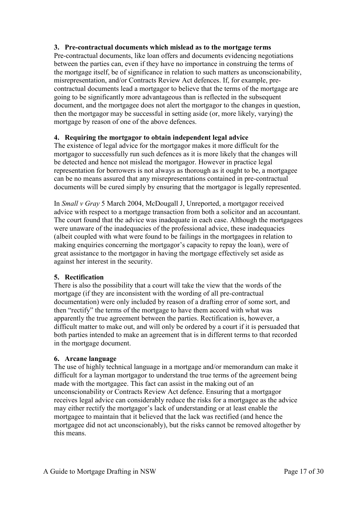#### <span id="page-16-0"></span>**3. Pre-contractual documents which mislead as to the mortgage terms**

Pre-contractual documents, like loan offers and documents evidencing negotiations between the parties can, even if they have no importance in construing the terms of the mortgage itself, be of significance in relation to such matters as unconscionability, misrepresentation, and/or Contracts Review Act defences. If, for example, precontractual documents lead a mortgagor to believe that the terms of the mortgage are going to be significantly more advantageous than is reflected in the subsequent document, and the mortgagee does not alert the mortgagor to the changes in question, then the mortgagor may be successful in setting aside (or, more likely, varying) the mortgage by reason of one of the above defences.

#### <span id="page-16-1"></span>**4. Requiring the mortgagor to obtain independent legal advice**

The existence of legal advice for the mortgagor makes it more difficult for the mortgagor to successfully run such defences as it is more likely that the changes will be detected and hence not mislead the mortgagor. However in practice legal representation for borrowers is not always as thorough as it ought to be, a mortgagee can be no means assured that any misrepresentations contained in pre-contractual documents will be cured simply by ensuring that the mortgagor is legally represented.

In *Small v Gray* 5 March 2004, McDougall J, Unreported, a mortgagor received advice with respect to a mortgage transaction from both a solicitor and an accountant. The court found that the advice was inadequate in each case. Although the mortgagees were unaware of the inadequacies of the professional advice, these inadequacies (albeit coupled with what were found to be failings in the mortgagees in relation to making enquiries concerning the mortgagor's capacity to repay the loan), were of great assistance to the mortgagor in having the mortgage effectively set aside as against her interest in the security.

#### <span id="page-16-2"></span>**5. Rectification**

There is also the possibility that a court will take the view that the words of the mortgage (if they are inconsistent with the wording of all pre-contractual documentation) were only included by reason of a drafting error of some sort, and then "rectify" the terms of the mortgage to have them accord with what was apparently the true agreement between the parties. Rectification is, however, a difficult matter to make out, and will only be ordered by a court if it is persuaded that both parties intended to make an agreement that is in different terms to that recorded in the mortgage document.

#### <span id="page-16-3"></span>**6. Arcane language**

The use of highly technical language in a mortgage and/or memorandum can make it difficult for a layman mortgagor to understand the true terms of the agreement being made with the mortgagee. This fact can assist in the making out of an unconscionability or Contracts Review Act defence. Ensuring that a mortgagor receives legal advice can considerably reduce the risks for a mortgagee as the advice may either rectify the mortgagor's lack of understanding or at least enable the mortgagee to maintain that it believed that the lack was rectified (and hence the mortgagee did not act unconscionably), but the risks cannot be removed altogether by this means.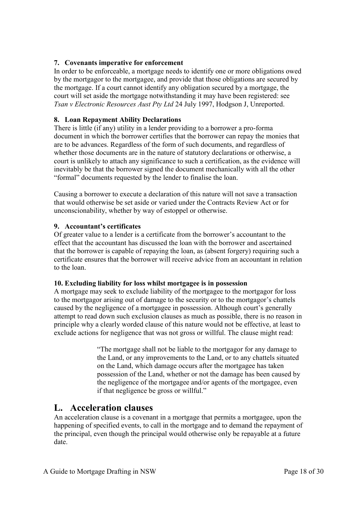#### <span id="page-17-0"></span>**7. Covenants imperative for enforcement**

In order to be enforceable, a mortgage needs to identify one or more obligations owed by the mortgagor to the mortgagee, and provide that those obligations are secured by the mortgage. If a court cannot identify any obligation secured by a mortgage, the court will set aside the mortgage notwithstanding it may have been registered: see *Tsan v Electronic Resources Aust Pty Ltd* 24 July 1997, Hodgson J, Unreported.

#### <span id="page-17-1"></span>**8. Loan Repayment Ability Declarations**

There is little (if any) utility in a lender providing to a borrower a pro-forma document in which the borrower certifies that the borrower can repay the monies that are to be advances. Regardless of the form of such documents, and regardless of whether those documents are in the nature of statutory declarations or otherwise, a court is unlikely to attach any significance to such a certification, as the evidence will inevitably be that the borrower signed the document mechanically with all the other "formal" documents requested by the lender to finalise the loan.

Causing a borrower to execute a declaration of this nature will not save a transaction that would otherwise be set aside or varied under the Contracts Review Act or for unconscionability, whether by way of estoppel or otherwise.

#### <span id="page-17-2"></span>**9. Accountant's certificates**

Of greater value to a lender is a certificate from the borrower's accountant to the effect that the accountant has discussed the loan with the borrower and ascertained that the borrower is capable of repaying the loan, as (absent forgery) requiring such a certificate ensures that the borrower will receive advice from an accountant in relation to the loan.

#### <span id="page-17-3"></span>**10. Excluding liability for loss whilst mortgagee is in possession**

A mortgage may seek to exclude liability of the mortgagee to the mortgagor for loss to the mortgagor arising out of damage to the security or to the mortgagor's chattels caused by the negligence of a mortgagee in possession. Although court's generally attempt to read down such exclusion clauses as much as possible, there is no reason in principle why a clearly worded clause of this nature would not be effective, at least to exclude actions for negligence that was not gross or willful. The clause might read:

> "The mortgage shall not be liable to the mortgagor for any damage to the Land, or any improvements to the Land, or to any chattels situated on the Land, which damage occurs after the mortgagee has taken possession of the Land, whether or not the damage has been caused by the negligence of the mortgagee and/or agents of the mortgagee, even if that negligence be gross or willful."

### <span id="page-17-4"></span>**L. Acceleration clauses**

An acceleration clause is a covenant in a mortgage that permits a mortgagee, upon the happening of specified events, to call in the mortgage and to demand the repayment of the principal, even though the principal would otherwise only be repayable at a future date.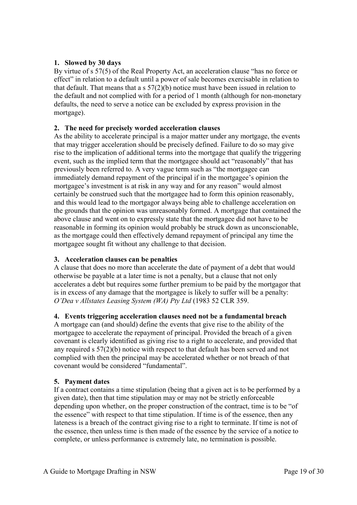#### <span id="page-18-0"></span>**1. Slowed by 30 days**

By virtue of s 57(5) of the Real Property Act, an acceleration clause "has no force or effect" in relation to a default until a power of sale becomes exercisable in relation to that default. That means that a s 57(2)(b) notice must have been issued in relation to the default and not complied with for a period of 1 month (although for non-monetary defaults, the need to serve a notice can be excluded by express provision in the mortgage).

#### <span id="page-18-1"></span>**2. The need for precisely worded acceleration clauses**

As the ability to accelerate principal is a major matter under any mortgage, the events that may trigger acceleration should be precisely defined. Failure to do so may give rise to the implication of additional terms into the mortgage that qualify the triggering event, such as the implied term that the mortgagee should act "reasonably" that has previously been referred to. A very vague term such as "the mortgagee can immediately demand repayment of the principal if in the mortgagee's opinion the mortgagee's investment is at risk in any way and for any reason" would almost certainly be construed such that the mortgagee had to form this opinion reasonably, and this would lead to the mortgagor always being able to challenge acceleration on the grounds that the opinion was unreasonably formed. A mortgage that contained the above clause and went on to expressly state that the mortgagee did not have to be reasonable in forming its opinion would probably be struck down as unconscionable, as the mortgage could then effectively demand repayment of principal any time the mortgagee sought fit without any challenge to that decision.

#### <span id="page-18-2"></span>**3. Acceleration clauses can be penalties**

A clause that does no more than accelerate the date of payment of a debt that would otherwise be payable at a later time is not a penalty, but a clause that not only accelerates a debt but requires some further premium to be paid by the mortgagor that is in excess of any damage that the mortgagee is likely to suffer will be a penalty: *O'Dea v Allstates Leasing System (WA) Pty Ltd* (1983 52 CLR 359.

#### <span id="page-18-3"></span>**4. Events triggering acceleration clauses need not be a fundamental breach**

A mortgage can (and should) define the events that give rise to the ability of the mortgagee to accelerate the repayment of principal. Provided the breach of a given covenant is clearly identified as giving rise to a right to accelerate, and provided that any required s 57(2)(b) notice with respect to that default has been served and not complied with then the principal may be accelerated whether or not breach of that covenant would be considered "fundamental".

#### <span id="page-18-4"></span>**5. Payment dates**

If a contract contains a time stipulation (being that a given act is to be performed by a given date), then that time stipulation may or may not be strictly enforceable depending upon whether, on the proper construction of the contract, time is to be "of the essence" with respect to that time stipulation. If time is of the essence, then any lateness is a breach of the contract giving rise to a right to terminate. If time is not of the essence, then unless time is then made of the essence by the service of a notice to complete, or unless performance is extremely late, no termination is possible.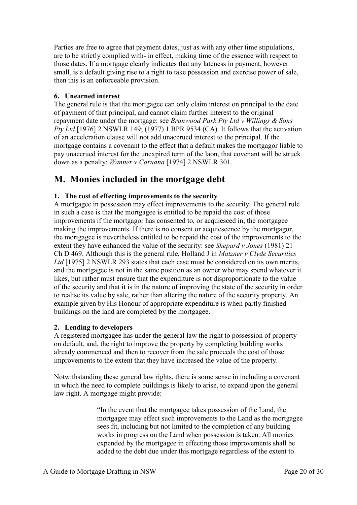Parties are free to agree that payment dates, just as with any other time stipulations, are to be strictly complied with- in effect, making time of the essence with respect to those dates. If a mortgage clearly indicates that any lateness in payment, however small, is a default giving rise to a right to take possession and exercise power of sale, then this is an enforceable provision.

#### <span id="page-19-0"></span>**6. Unearned interest**

The general rule is that the mortgagee can only claim interest on principal to the date of payment of that principal, and cannot claim further interest to the original repayment date under the mortgage: see *Branwood Park Pty Ltd v Willings & Sons Pty Ltd* [1976] 2 NSWLR 149; (1977) 1 BPR 9534 (CA). It follows that the activation of an acceleration clause will not add unaccrued interest to the principal. If the mortgage contains a covenant to the effect that a default makes the mortgagor liable to pay unaccrued interest for the unexpired term of the laon, that covenant will be struck down as a penalty: *Wanner v Caruana* [1974] 2 NSWLR 301.

### <span id="page-19-1"></span>**M. Monies included in the mortgage debt**

#### <span id="page-19-2"></span>**1. The cost of effecting improvements to the security**

A mortgagee in possession may effect improvements to the security. The general rule in such a case is that the mortgagee is entitled to be repaid the cost of those improvements if the mortgagor has consented to, or acquiesced in, the mortgagee making the improvements. If there is no consent or acquiescence by the mortgagor, the mortgagee is nevertheless entitled to be repaid the cost of the improvements to the extent they have enhanced the value of the security: see *Shepard v Jones* (1981) 21 Ch D 469. Although this is the general rule, Holland J in *Matzner v Clyde Securities Ltd* [1975] 2 NSWLR 293 states that each case must be considered on its own merits, and the mortgagee is not in the same position as an owner who may spend whatever it likes, but rather must ensure that the expenditure is not disproportionate to the value of the security and that it is in the nature of improving the state of the security in order to realise its value by sale, rather than altering the nature of the security property. An example given by His Honour of appropriate expenditure is when partly finished buildings on the land are completed by the mortgagee.

#### <span id="page-19-3"></span>**2. Lending to developers**

A registered mortgagee has under the general law the right to possession of property on default, and, the right to improve the property by completing building works already commenced and then to recover from the sale proceeds the cost of those improvements to the extent that they have increased the value of the property.

Notwithstanding these general law rights, there is some sense in including a covenant in which the need to complete buildings is likely to arise, to expand upon the general law right. A mortgage might provide:

> "In the event that the mortgagee takes possession of the Land, the mortgagee may effect such improvements to the Land as the mortgagee sees fit, including but not limited to the completion of any building works in progress on the Land when possession is taken. All monies expended by the mortgagee in effecting those improvements shall be added to the debt due under this mortgage regardless of the extent to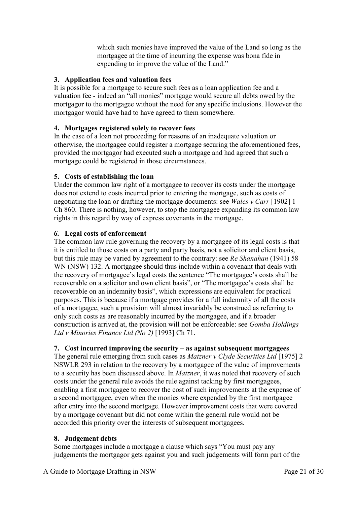which such monies have improved the value of the Land so long as the mortgagee at the time of incurring the expense was bona fide in expending to improve the value of the Land."

#### <span id="page-20-0"></span>**3. Application fees and valuation fees**

It is possible for a mortgage to secure such fees as a loan application fee and a valuation fee - indeed an "all monies" mortgage would secure all debts owed by the mortgagor to the mortgagee without the need for any specific inclusions. However the mortgagor would have had to have agreed to them somewhere.

#### <span id="page-20-1"></span>**4. Mortgages registered solely to recover fees**

In the case of a loan not proceeding for reasons of an inadequate valuation or otherwise, the mortgagee could register a mortgage securing the aforementioned fees, provided the mortgagor had executed such a mortgage and had agreed that such a mortgage could be registered in those circumstances.

#### <span id="page-20-2"></span>**5. Costs of establishing the loan**

Under the common law right of a mortgagee to recover its costs under the mortgage does not extend to costs incurred prior to entering the mortgage, such as costs of negotiating the loan or drafting the mortgage documents: see *Wales v Carr* [1902] 1 Ch 860. There is nothing, however, to stop the mortgagee expanding its common law rights in this regard by way of express covenants in the mortgage.

#### <span id="page-20-3"></span>*6.* **Legal costs of enforcement**

The common law rule governing the recovery by a mortgagee of its legal costs is that it is entitled to those costs on a party and party basis, not a solicitor and client basis, but this rule may be varied by agreement to the contrary: see *Re Shanahan* (1941) 58 WN (NSW) 132. A mortgagee should thus include within a covenant that deals with the recovery of mortgagee's legal costs the sentence "The mortgagee's costs shall be recoverable on a solicitor and own client basis", or "The mortgagee's costs shall be recoverable on an indemnity basis", which expressions are equivalent for practical purposes. This is because if a mortgage provides for a full indemnity of all the costs of a mortgagee, such a provision will almost invariably be construed as referring to only such costs as are reasonably incurred by the mortgagee, and if a broader construction is arrived at, the provision will not be enforceable: see *Gomba Holdings Ltd v Minories Finance Ltd (No 2)* [1993] Ch 71.

#### <span id="page-20-4"></span>**7. Cost incurred improving the security – as against subsequent mortgagees**

The general rule emerging from such cases as *Matzner v Clyde Securities Ltd* [1975] 2 NSWLR 293 in relation to the recovery by a mortgagee of the value of improvements to a security has been discussed above. In *Matzner*, it was noted that recovery of such costs under the general rule avoids the rule against tacking by first mortgagees, enabling a first mortgagee to recover the cost of such improvements at the expense of a second mortgagee, even when the monies where expended by the first mortgagee after entry into the second mortgage. However improvement costs that were covered by a mortgage covenant but did not come within the general rule would not be accorded this priority over the interests of subsequent mortgagees.

#### <span id="page-20-5"></span>**8. Judgement debts**

Some mortgages include a mortgage a clause which says "You must pay any judgements the mortgagor gets against you and such judgements will form part of the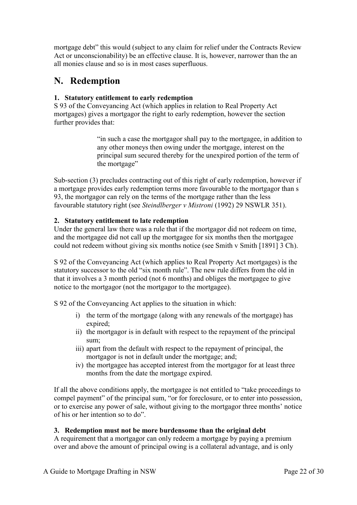mortgage debt" this would (subject to any claim for relief under the Contracts Review Act or unconscionability) be an effective clause. It is, however, narrower than the an all monies clause and so is in most cases superfluous.

# <span id="page-21-0"></span>**N. Redemption**

#### <span id="page-21-1"></span>**1. Statutory entitlement to early redemption**

S 93 of the Conveyancing Act (which applies in relation to Real Property Act mortgages) gives a mortgagor the right to early redemption, however the section further provides that:

> "in such a case the mortgagor shall pay to the mortgagee, in addition to any other moneys then owing under the mortgage, interest on the principal sum secured thereby for the unexpired portion of the term of the mortgage"

Sub-section (3) precludes contracting out of this right of early redemption, however if a mortgage provides early redemption terms more favourable to the mortgagor than s 93, the mortgagor can rely on the terms of the mortgage rather than the less favourable statutory right (see *Steindlberger v Mistroni* (1992) 29 NSWLR 351).

#### <span id="page-21-2"></span>**2. Statutory entitlement to late redemption**

Under the general law there was a rule that if the mortgagor did not redeem on time, and the mortgagee did not call up the mortgagee for six months then the mortgagee could not redeem without giving six months notice (see Smith v Smith [1891] 3 Ch).

S 92 of the Conveyancing Act (which applies to Real Property Act mortgages) is the statutory successor to the old "six month rule". The new rule differs from the old in that it involves a 3 month period (not 6 months) and obliges the mortgagee to give notice to the mortgagor (not the mortgagor to the mortgagee).

S 92 of the Conveyancing Act applies to the situation in which:

- i) the term of the mortgage (along with any renewals of the mortgage) has expired;
- ii) the mortgagor is in default with respect to the repayment of the principal sum;
- iii) apart from the default with respect to the repayment of principal, the mortgagor is not in default under the mortgage; and;
- iv) the mortgagee has accepted interest from the mortgagor for at least three months from the date the mortgage expired.

If all the above conditions apply, the mortgagee is not entitled to "take proceedings to compel payment" of the principal sum, "or for foreclosure, or to enter into possession, or to exercise any power of sale, without giving to the mortgagor three months' notice of his or her intention so to do".

#### <span id="page-21-3"></span>**3. Redemption must not be more burdensome than the original debt**

A requirement that a mortgagor can only redeem a mortgage by paying a premium over and above the amount of principal owing is a collateral advantage, and is only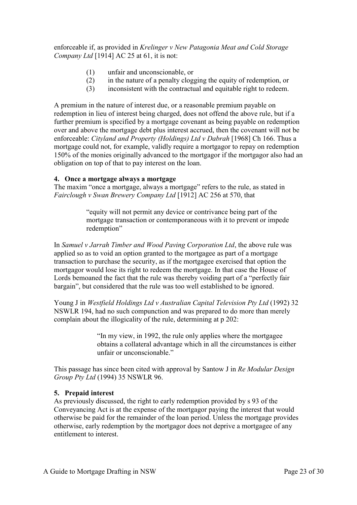enforceable if, as provided in *Krelinger v New Patagonia Meat and Cold Storage Company Ltd* [1914] AC 25 at 61, it is not:

- (1) unfair and unconscionable, or
- (2) in the nature of a penalty clogging the equity of redemption, or
- (3) inconsistent with the contractual and equitable right to redeem.

A premium in the nature of interest due, or a reasonable premium payable on redemption in lieu of interest being charged, does not offend the above rule, but if a further premium is specified by a mortgage covenant as being payable on redemption over and above the mortgage debt plus interest accrued, then the covenant will not be enforceable: *Cityland and Property (Holdings) Ltd v Dabrah* [1968] Ch 166. Thus a mortgage could not, for example, validly require a mortgagor to repay on redemption 150% of the monies originally advanced to the mortgagor if the mortgagor also had an obligation on top of that to pay interest on the loan.

#### <span id="page-22-0"></span>**4. Once a mortgage always a mortgage**

The maxim "once a mortgage, always a mortgage" refers to the rule, as stated in *Fairclough v Swan Brewery Company Ltd* [1912] AC 256 at 570, that

> "equity will not permit any device or contrivance being part of the mortgage transaction or contemporaneous with it to prevent or impede redemption"

In *Samuel v Jarrah Timber and Wood Paving Corporation Ltd*, the above rule was applied so as to void an option granted to the mortgagee as part of a mortgage transaction to purchase the security, as if the mortgagee exercised that option the mortgagor would lose its right to redeem the mortgage. In that case the House of Lords bemoaned the fact that the rule was thereby voiding part of a "perfectly fair bargain", but considered that the rule was too well established to be ignored.

Young J in *Westfield Holdings Ltd v Australian Capital Television Pty Ltd* (1992) 32 NSWLR 194, had no such compunction and was prepared to do more than merely complain about the illogicality of the rule, determining at p 202:

> "In my view, in 1992, the rule only applies where the mortgagee obtains a collateral advantage which in all the circumstances is either unfair or unconscionable."

This passage has since been cited with approval by Santow J in *Re Modular Design Group Pty Ltd* (1994) 35 NSWLR 96.

#### <span id="page-22-1"></span>**5. Prepaid interest**

As previously discussed, the right to early redemption provided by s 93 of the Conveyancing Act is at the expense of the mortgagor paying the interest that would otherwise be paid for the remainder of the loan period. Unless the mortgage provides otherwise, early redemption by the mortgagor does not deprive a mortgagee of any entitlement to interest.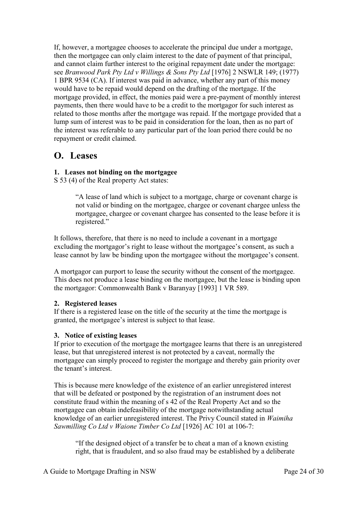If, however, a mortgagee chooses to accelerate the principal due under a mortgage, then the mortgagee can only claim interest to the date of payment of that principal, and cannot claim further interest to the original repayment date under the mortgage: see *Branwood Park Pty Ltd v Willings & Sons Pty Ltd* [1976] 2 NSWLR 149; (1977) 1 BPR 9534 (CA). If interest was paid in advance, whether any part of this money would have to be repaid would depend on the drafting of the mortgage. If the mortgage provided, in effect, the monies paid were a pre-payment of monthly interest payments, then there would have to be a credit to the mortgagor for such interest as related to those months after the mortgage was repaid. If the mortgage provided that a lump sum of interest was to be paid in consideration for the loan, then as no part of the interest was referable to any particular part of the loan period there could be no repayment or credit claimed.

### <span id="page-23-0"></span>**O. Leases**

#### <span id="page-23-1"></span>**1. Leases not binding on the mortgagee**

S 53 (4) of the Real property Act states:

"A lease of land which is subject to a mortgage, charge or covenant charge is not valid or binding on the mortgagee, chargee or covenant chargee unless the mortgagee, chargee or covenant chargee has consented to the lease before it is registered."

It follows, therefore, that there is no need to include a covenant in a mortgage excluding the mortgagor's right to lease without the mortgagee's consent, as such a lease cannot by law be binding upon the mortgagee without the mortgagee's consent.

A mortgagor can purport to lease the security without the consent of the mortgagee. This does not produce a lease binding on the mortgagee, but the lease is binding upon the mortgagor: Commonwealth Bank v Baranyay [1993] 1 VR 589.

#### <span id="page-23-2"></span>**2. Registered leases**

If there is a registered lease on the title of the security at the time the mortgage is granted, the mortgagee's interest is subject to that lease.

#### <span id="page-23-3"></span>**3. Notice of existing leases**

If prior to execution of the mortgage the mortgagee learns that there is an unregistered lease, but that unregistered interest is not protected by a caveat, normally the mortgagee can simply proceed to register the mortgage and thereby gain priority over the tenant's interest.

This is because mere knowledge of the existence of an earlier unregistered interest that will be defeated or postponed by the registration of an instrument does not constitute fraud within the meaning of s 42 of the Real Property Act and so the mortgagee can obtain indefeasibility of the mortgage notwithstanding actual knowledge of an earlier unregistered interest. The Privy Council stated in *Waimiha Sawmilling Co Ltd v Waione Timber Co Ltd* [1926] AC 101 at 106-7:

"If the designed object of a transfer be to cheat a man of a known existing right, that is fraudulent, and so also fraud may be established by a deliberate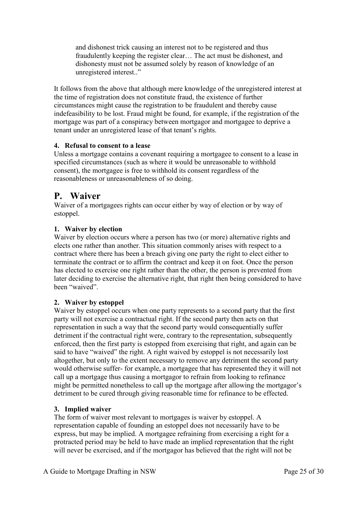and dishonest trick causing an interest not to be registered and thus fraudulently keeping the register clear… The act must be dishonest, and dishonesty must not be assumed solely by reason of knowledge of an unregistered interest.."

It follows from the above that although mere knowledge of the unregistered interest at the time of registration does not constitute fraud, the existence of further circumstances might cause the registration to be fraudulent and thereby cause indefeasibility to be lost. Fraud might be found, for example, if the registration of the mortgage was part of a conspiracy between mortgagor and mortgagee to deprive a tenant under an unregistered lease of that tenant's rights.

#### <span id="page-24-0"></span>**4. Refusal to consent to a lease**

Unless a mortgage contains a covenant requiring a mortgagee to consent to a lease in specified circumstances (such as where it would be unreasonable to withhold consent), the mortgagee is free to withhold its consent regardless of the reasonableness or unreasonableness of so doing.

### <span id="page-24-1"></span>**P. Waiver**

Waiver of a mortgagees rights can occur either by way of election or by way of estoppel.

#### <span id="page-24-2"></span>**1. Waiver by election**

Waiver by election occurs where a person has two (or more) alternative rights and elects one rather than another. This situation commonly arises with respect to a contract where there has been a breach giving one party the right to elect either to terminate the contract or to affirm the contract and keep it on foot. Once the person has elected to exercise one right rather than the other, the person is prevented from later deciding to exercise the alternative right, that right then being considered to have been "waived".

#### <span id="page-24-3"></span>**2. Waiver by estoppel**

Waiver by estoppel occurs when one party represents to a second party that the first party will not exercise a contractual right. If the second party then acts on that representation in such a way that the second party would consequentially suffer detriment if the contractual right were, contrary to the representation, subsequently enforced, then the first party is estopped from exercising that right, and again can be said to have "waived" the right. A right waived by estoppel is not necessarily lost altogether, but only to the extent necessary to remove any detriment the second party would otherwise suffer- for example, a mortgagee that has represented they it will not call up a mortgage thus causing a mortgagor to refrain from looking to refinance might be permitted nonetheless to call up the mortgage after allowing the mortgagor's detriment to be cured through giving reasonable time for refinance to be effected.

#### <span id="page-24-4"></span>**3. Implied waiver**

The form of waiver most relevant to mortgages is waiver by estoppel. A representation capable of founding an estoppel does not necessarily have to be express, but may be implied. A mortgagee refraining from exercising a right for a protracted period may be held to have made an implied representation that the right will never be exercised, and if the mortgagor has believed that the right will not be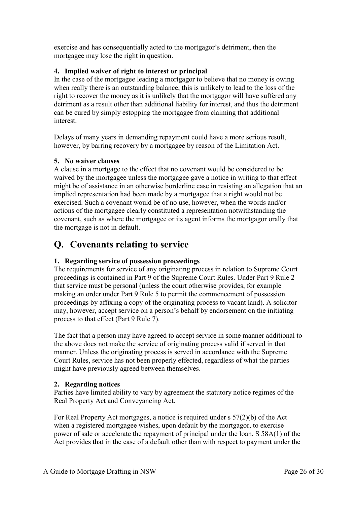exercise and has consequentially acted to the mortgagor's detriment, then the mortgagee may lose the right in question.

#### <span id="page-25-0"></span>**4. Implied waiver of right to interest or principal**

In the case of the mortgagee leading a mortgagor to believe that no money is owing when really there is an outstanding balance, this is unlikely to lead to the loss of the right to recover the money as it is unlikely that the mortgagor will have suffered any detriment as a result other than additional liability for interest, and thus the detriment can be cured by simply estopping the mortgagee from claiming that additional interest.

Delays of many years in demanding repayment could have a more serious result, however, by barring recovery by a mortgagee by reason of the Limitation Act.

#### <span id="page-25-1"></span>**5. No waiver clauses**

A clause in a mortgage to the effect that no covenant would be considered to be waived by the mortgagee unless the mortgagee gave a notice in writing to that effect might be of assistance in an otherwise borderline case in resisting an allegation that an implied representation had been made by a mortgagee that a right would not be exercised. Such a covenant would be of no use, however, when the words and/or actions of the mortgagee clearly constituted a representation notwithstanding the covenant, such as where the mortgagee or its agent informs the mortgagor orally that the mortgage is not in default.

## <span id="page-25-2"></span>**Q. Covenants relating to service**

#### <span id="page-25-3"></span>**1. Regarding service of possession proceedings**

The requirements for service of any originating process in relation to Supreme Court proceedings is contained in Part 9 of the Supreme Court Rules. Under Part 9 Rule 2 that service must be personal (unless the court otherwise provides, for example making an order under Part 9 Rule 5 to permit the commencement of possession proceedings by affixing a copy of the originating process to vacant land). A solicitor may, however, accept service on a person's behalf by endorsement on the initiating process to that effect (Part 9 Rule 7).

The fact that a person may have agreed to accept service in some manner additional to the above does not make the service of originating process valid if served in that manner. Unless the originating process is served in accordance with the Supreme Court Rules, service has not been properly effected, regardless of what the parties might have previously agreed between themselves.

#### <span id="page-25-4"></span>**2. Regarding notices**

Parties have limited ability to vary by agreement the statutory notice regimes of the Real Property Act and Conveyancing Act.

For Real Property Act mortgages, a notice is required under s 57(2)(b) of the Act when a registered mortgagee wishes, upon default by the mortgagor, to exercise power of sale or accelerate the repayment of principal under the loan. S 58A(1) of the Act provides that in the case of a default other than with respect to payment under the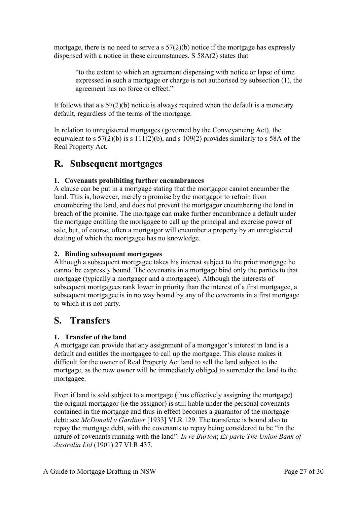mortgage, there is no need to serve a s  $57(2)(b)$  notice if the mortgage has expressly dispensed with a notice in these circumstances. S 58A(2) states that

"to the extent to which an agreement dispensing with notice or lapse of time expressed in such a mortgage or charge is not authorised by subsection (1), the agreement has no force or effect."

It follows that a s  $57(2)(b)$  notice is always required when the default is a monetary default, regardless of the terms of the mortgage.

In relation to unregistered mortgages (governed by the Conveyancing Act), the equivalent to s  $57(2)(b)$  is s  $111(2)(b)$ , and s  $109(2)$  provides similarly to s 58A of the Real Property Act.

### <span id="page-26-0"></span>**R. Subsequent mortgages**

#### <span id="page-26-1"></span>**1. Covenants prohibiting further encumbrances**

A clause can be put in a mortgage stating that the mortgagor cannot encumber the land. This is, however, merely a promise by the mortgagor to refrain from encumbering the land, and does not prevent the mortgagor encumbering the land in breach of the promise. The mortgage can make further encumbrance a default under the mortgage entitling the mortgagee to call up the principal and exercise power of sale, but, of course, often a mortgagor will encumber a property by an unregistered dealing of which the mortgagee has no knowledge.

#### <span id="page-26-2"></span>**2. Binding subsequent mortgagees**

Although a subsequent mortgagee takes his interest subject to the prior mortgage he cannot be expressly bound. The covenants in a mortgage bind only the parties to that mortgage (typically a mortgagor and a mortgagee). Although the interests of subsequent mortgagees rank lower in priority than the interest of a first mortgagee, a subsequent mortgagee is in no way bound by any of the covenants in a first mortgage to which it is not party.

### <span id="page-26-3"></span>**S. Transfers**

#### <span id="page-26-4"></span>**1. Transfer of the land**

A mortgage can provide that any assignment of a mortgagor's interest in land is a default and entitles the mortgagee to call up the mortgage. This clause makes it difficult for the owner of Real Property Act land to sell the land subject to the mortgage, as the new owner will be immediately obliged to surrender the land to the mortgagee.

Even if land is sold subject to a mortgage (thus effectively assigning the mortgage) the original mortgagor (ie the assignor) is still liable under the personal covenants contained in the mortgage and thus in effect becomes a guarantor of the mortgage debt: see *McDonald v Gardiner* [1933] VLR 129. The transferee is bound also to repay the mortgage debt, with the covenants to repay being considered to be "in the nature of covenants running with the land": *In re Burton*; *Ex parte The Union Bank of Australia Ltd* (1901) 27 VLR 437.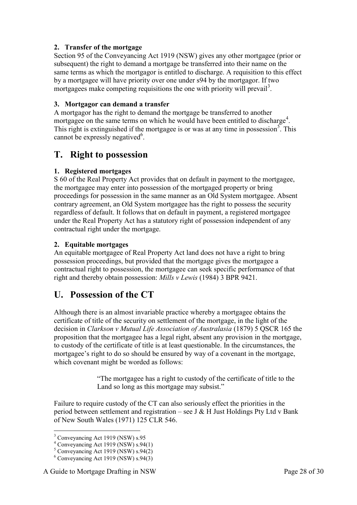#### <span id="page-27-0"></span>**2. Transfer of the mortgage**

Section 95 of the Conveyancing Act 1919 (NSW) gives any other mortgagee (prior or subsequent) the right to demand a mortgage be transferred into their name on the same terms as which the mortgagor is entitled to discharge. A requisition to this effect by a mortgagee will have priority over one under s94 by the mortgagor. If two mortgagees make competing requisitions the one with priority will prevail<sup>3</sup>.

#### <span id="page-27-1"></span>**3. Mortgagor can demand a transfer**

A mortgagor has the right to demand the mortgage be transferred to another mortgagee on the same terms on which he would have been entitled to discharge<sup>4</sup>. This right is extinguished if the mortgagee is or was at any time in possession<sup>5</sup>. This cannot be expressly negatived<sup>6</sup>.

### <span id="page-27-2"></span>**T. Right to possession**

#### <span id="page-27-3"></span>**1. Registered mortgages**

S 60 of the Real Property Act provides that on default in payment to the mortgagee, the mortgagee may enter into possession of the mortgaged property or bring proceedings for possession in the same manner as an Old System mortgagee. Absent contrary agreement, an Old System mortgagee has the right to possess the security regardless of default. It follows that on default in payment, a registered mortgagee under the Real Property Act has a statutory right of possession independent of any contractual right under the mortgage.

#### <span id="page-27-4"></span>**2. Equitable mortgages**

An equitable mortgagee of Real Property Act land does not have a right to bring possession proceedings, but provided that the mortgage gives the mortgagee a contractual right to possession, the mortgagee can seek specific performance of that right and thereby obtain possession: *Mills v Lewis* (1984) 3 BPR 9421.

### <span id="page-27-5"></span>**U. Possession of the CT**

Although there is an almost invariable practice whereby a mortgagee obtains the certificate of title of the security on settlement of the mortgage, in the light of the decision in *Clarkson v Mutual Life Association of Australasia* (1879) 5 QSCR 165 the proposition that the mortgagee has a legal right, absent any provision in the mortgage, to custody of the certificate of title is at least questionable. In the circumstances, the mortgagee's right to do so should be ensured by way of a covenant in the mortgage, which covenant might be worded as follows:

> "The mortgagee has a right to custody of the certificate of title to the Land so long as this mortgage may subsist."

Failure to require custody of the CT can also seriously effect the priorities in the period between settlement and registration – see J  $&$  H Just Holdings Pty Ltd v Bank of New South Wales (1971) 125 CLR 546.

-

<sup>&</sup>lt;sup>3</sup> Conveyancing Act 1919 (NSW) s.95

 $4$  Conveyancing Act 1919 (NSW) s.94(1)

 $5$  Conveyancing Act 1919 (NSW) s.94(2)

 $6$  Conveyancing Act 1919 (NSW) s.94(3)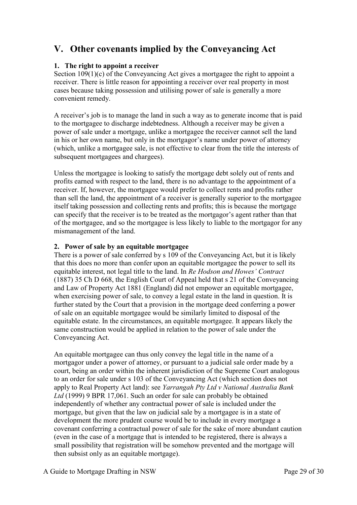# <span id="page-28-0"></span>**V. Other covenants implied by the Conveyancing Act**

#### <span id="page-28-1"></span>**1. The right to appoint a receiver**

Section 109(1)(c) of the Conveyancing Act gives a mortgagee the right to appoint a receiver. There is little reason for appointing a receiver over real property in most cases because taking possession and utilising power of sale is generally a more convenient remedy.

A receiver's job is to manage the land in such a way as to generate income that is paid to the mortgagee to discharge indebtedness. Although a receiver may be given a power of sale under a mortgage, unlike a mortgagee the receiver cannot sell the land in his or her own name, but only in the mortgagor's name under power of attorney (which, unlike a mortgagee sale, is not effective to clear from the title the interests of subsequent mortgagees and chargees).

Unless the mortgagee is looking to satisfy the mortgage debt solely out of rents and profits earned with respect to the land, there is no advantage to the appointment of a receiver. If, however, the mortgagee would prefer to collect rents and profits rather than sell the land, the appointment of a receiver is generally superior to the mortgagee itself taking possession and collecting rents and profits; this is because the mortgage can specify that the receiver is to be treated as the mortgagor's agent rather than that of the mortgagee, and so the mortgagee is less likely to liable to the mortgagor for any mismanagement of the land.

#### <span id="page-28-2"></span>**2. Power of sale by an equitable mortgagee**

There is a power of sale conferred by s 109 of the Conveyancing Act, but it is likely that this does no more than confer upon an equitable mortgagee the power to sell its equitable interest, not legal title to the land. In *Re Hodson and Howes' Contract* (1887) 35 Ch D 668, the English Court of Appeal held that s 21 of the Conveyancing and Law of Property Act 1881 (England) did not empower an equitable mortgagee, when exercising power of sale, to convey a legal estate in the land in question. It is further stated by the Court that a provision in the mortgage deed conferring a power of sale on an equitable mortgagee would be similarly limited to disposal of the equitable estate. In the circumstances, an equitable mortgagee. It appears likely the same construction would be applied in relation to the power of sale under the Conveyancing Act.

An equitable mortgagee can thus only convey the legal title in the name of a mortgagor under a power of attorney, or pursuant to a judicial sale order made by a court, being an order within the inherent jurisdiction of the Supreme Court analogous to an order for sale under s 103 of the Conveyancing Act (which section does not apply to Real Property Act land): see *Yarrangah Pty Ltd v National Australia Bank Ltd* (1999) 9 BPR 17,061. Such an order for sale can probably be obtained independently of whether any contractual power of sale is included under the mortgage, but given that the law on judicial sale by a mortgagee is in a state of development the more prudent course would be to include in every mortgage a covenant conferring a contractual power of sale for the sake of more abundant caution (even in the case of a mortgage that is intended to be registered, there is always a small possibility that registration will be somehow prevented and the mortgage will then subsist only as an equitable mortgage).